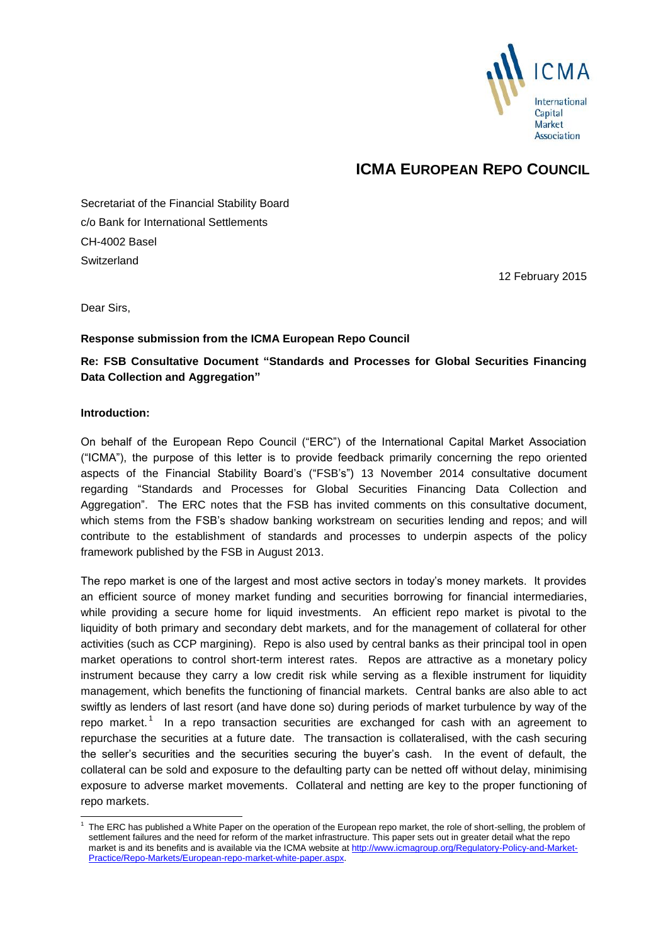

# **ICMA EUROPEAN REPO COUNCIL**

Secretariat of the Financial Stability Board c/o Bank for International Settlements CH-4002 Basel **Switzerland** 

12 February 2015

Dear Sirs,

## **Response submission from the ICMA European Repo Council**

**Re: FSB Consultative Document "Standards and Processes for Global Securities Financing Data Collection and Aggregation"**

#### **Introduction:**

-

On behalf of the European Repo Council ("ERC") of the International Capital Market Association ("ICMA"), the purpose of this letter is to provide feedback primarily concerning the repo oriented aspects of the Financial Stability Board's ("FSB's") 13 November 2014 consultative document regarding "Standards and Processes for Global Securities Financing Data Collection and Aggregation". The ERC notes that the FSB has invited comments on this consultative document, which stems from the FSB's shadow banking workstream on securities lending and repos; and will contribute to the establishment of standards and processes to underpin aspects of the policy framework published by the FSB in August 2013.

The repo market is one of the largest and most active sectors in today's money markets. It provides an efficient source of money market funding and securities borrowing for financial intermediaries, while providing a secure home for liquid investments. An efficient repo market is pivotal to the liquidity of both primary and secondary debt markets, and for the management of collateral for other activities (such as CCP margining). Repo is also used by central banks as their principal tool in open market operations to control short-term interest rates. Repos are attractive as a monetary policy instrument because they carry a low credit risk while serving as a flexible instrument for liquidity management, which benefits the functioning of financial markets. Central banks are also able to act swiftly as lenders of last resort (and have done so) during periods of market turbulence by way of the repo market.<sup>1</sup> In a repo transaction securities are exchanged for cash with an agreement to repurchase the securities at a future date. The transaction is collateralised, with the cash securing the seller's securities and the securities securing the buyer's cash. In the event of default, the collateral can be sold and exposure to the defaulting party can be netted off without delay, minimising exposure to adverse market movements. Collateral and netting are key to the proper functioning of repo markets.

<sup>1</sup> The ERC has published a White Paper on the operation of the European repo market, the role of short-selling, the problem of settlement failures and the need for reform of the market infrastructure. This paper sets out in greater detail what the repo market is and its benefits and is available via the ICMA website a[t http://www.icmagroup.org/Regulatory-Policy-and-Market-](http://www.icmagroup.org/Regulatory-Policy-and-Market-Practice/Repo-Markets/European-repo-market-white-paper.aspx)[Practice/Repo-Markets/European-repo-market-white-paper.aspx.](http://www.icmagroup.org/Regulatory-Policy-and-Market-Practice/Repo-Markets/European-repo-market-white-paper.aspx)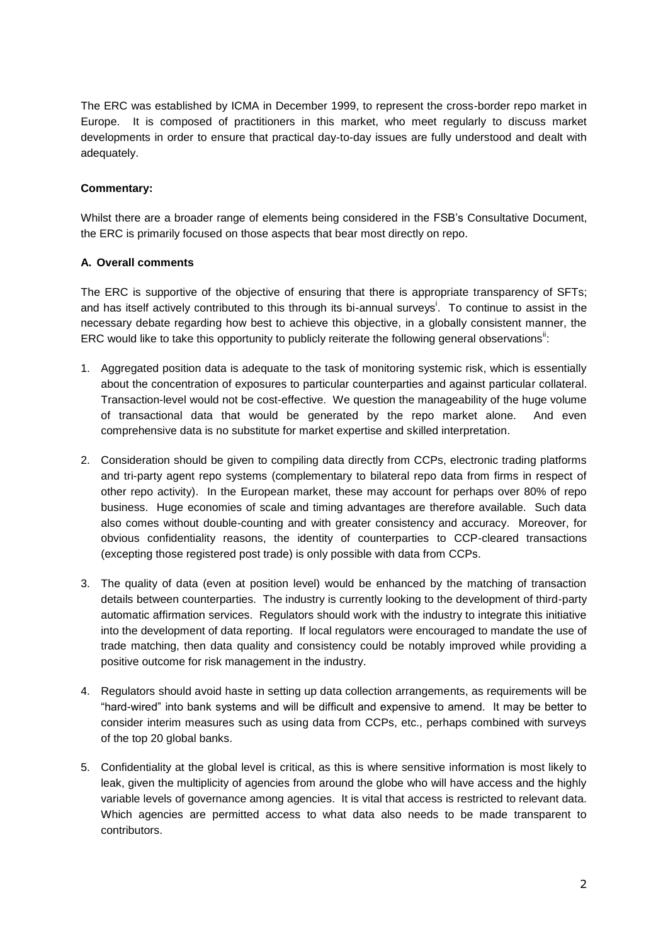The ERC was established by ICMA in December 1999, to represent the cross-border repo market in Europe. It is composed of practitioners in this market, who meet regularly to discuss market developments in order to ensure that practical day-to-day issues are fully understood and dealt with adequately.

## **Commentary:**

Whilst there are a broader range of elements being considered in the FSB's Consultative Document, the ERC is primarily focused on those aspects that bear most directly on repo.

## **A. Overall comments**

The ERC is supportive of the objective of ensuring that there is appropriate transparency of SFTs; and has itself actively contributed to this through its bi-annual surveys<sup>i</sup>. To continue to assist in the necessary debate regarding how best to achieve this objective, in a globally consistent manner, the ERC would like to take this opportunity to publicly reiterate the following general observations":

- 1. Aggregated position data is adequate to the task of monitoring systemic risk, which is essentially about the concentration of exposures to particular counterparties and against particular collateral. Transaction-level would not be cost-effective. We question the manageability of the huge volume of transactional data that would be generated by the repo market alone. And even comprehensive data is no substitute for market expertise and skilled interpretation.
- 2. Consideration should be given to compiling data directly from CCPs, electronic trading platforms and tri-party agent repo systems (complementary to bilateral repo data from firms in respect of other repo activity). In the European market, these may account for perhaps over 80% of repo business. Huge economies of scale and timing advantages are therefore available. Such data also comes without double-counting and with greater consistency and accuracy. Moreover, for obvious confidentiality reasons, the identity of counterparties to CCP-cleared transactions (excepting those registered post trade) is only possible with data from CCPs.
- 3. The quality of data (even at position level) would be enhanced by the matching of transaction details between counterparties. The industry is currently looking to the development of third-party automatic affirmation services. Regulators should work with the industry to integrate this initiative into the development of data reporting. If local regulators were encouraged to mandate the use of trade matching, then data quality and consistency could be notably improved while providing a positive outcome for risk management in the industry.
- 4. Regulators should avoid haste in setting up data collection arrangements, as requirements will be "hard-wired" into bank systems and will be difficult and expensive to amend. It may be better to consider interim measures such as using data from CCPs, etc., perhaps combined with surveys of the top 20 global banks.
- 5. Confidentiality at the global level is critical, as this is where sensitive information is most likely to leak, given the multiplicity of agencies from around the globe who will have access and the highly variable levels of governance among agencies. It is vital that access is restricted to relevant data. Which agencies are permitted access to what data also needs to be made transparent to contributors.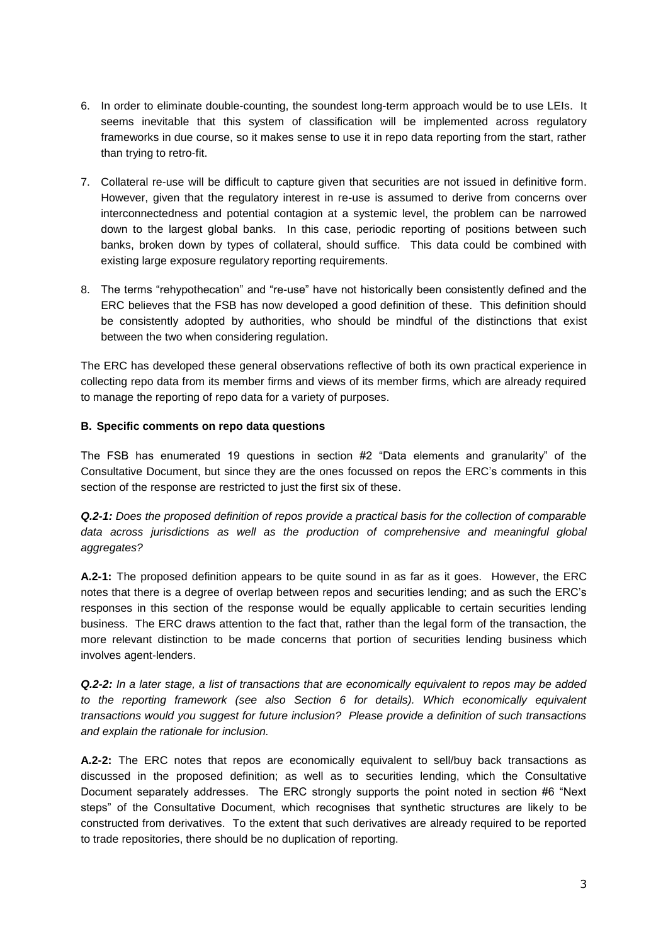- 6. In order to eliminate double-counting, the soundest long-term approach would be to use LEIs. It seems inevitable that this system of classification will be implemented across regulatory frameworks in due course, so it makes sense to use it in repo data reporting from the start, rather than trying to retro-fit.
- 7. Collateral re-use will be difficult to capture given that securities are not issued in definitive form. However, given that the regulatory interest in re-use is assumed to derive from concerns over interconnectedness and potential contagion at a systemic level, the problem can be narrowed down to the largest global banks. In this case, periodic reporting of positions between such banks, broken down by types of collateral, should suffice. This data could be combined with existing large exposure regulatory reporting requirements.
- 8. The terms "rehypothecation" and "re-use" have not historically been consistently defined and the ERC believes that the FSB has now developed a good definition of these. This definition should be consistently adopted by authorities, who should be mindful of the distinctions that exist between the two when considering regulation.

The ERC has developed these general observations reflective of both its own practical experience in collecting repo data from its member firms and views of its member firms, which are already required to manage the reporting of repo data for a variety of purposes.

## **B. Specific comments on repo data questions**

The FSB has enumerated 19 questions in section #2 "Data elements and granularity" of the Consultative Document, but since they are the ones focussed on repos the ERC's comments in this section of the response are restricted to just the first six of these.

*Q.2-1: Does the proposed definition of repos provide a practical basis for the collection of comparable data across jurisdictions as well as the production of comprehensive and meaningful global aggregates?*

**A.2-1:** The proposed definition appears to be quite sound in as far as it goes. However, the ERC notes that there is a degree of overlap between repos and securities lending; and as such the ERC's responses in this section of the response would be equally applicable to certain securities lending business. The ERC draws attention to the fact that, rather than the legal form of the transaction, the more relevant distinction to be made concerns that portion of securities lending business which involves agent-lenders.

*Q.2-2: In a later stage, a list of transactions that are economically equivalent to repos may be added*  to the reporting framework (see also Section 6 for details). Which economically equivalent *transactions would you suggest for future inclusion? Please provide a definition of such transactions and explain the rationale for inclusion.*

**A.2-2:** The ERC notes that repos are economically equivalent to sell/buy back transactions as discussed in the proposed definition; as well as to securities lending, which the Consultative Document separately addresses. The ERC strongly supports the point noted in section #6 "Next steps" of the Consultative Document, which recognises that synthetic structures are likely to be constructed from derivatives. To the extent that such derivatives are already required to be reported to trade repositories, there should be no duplication of reporting.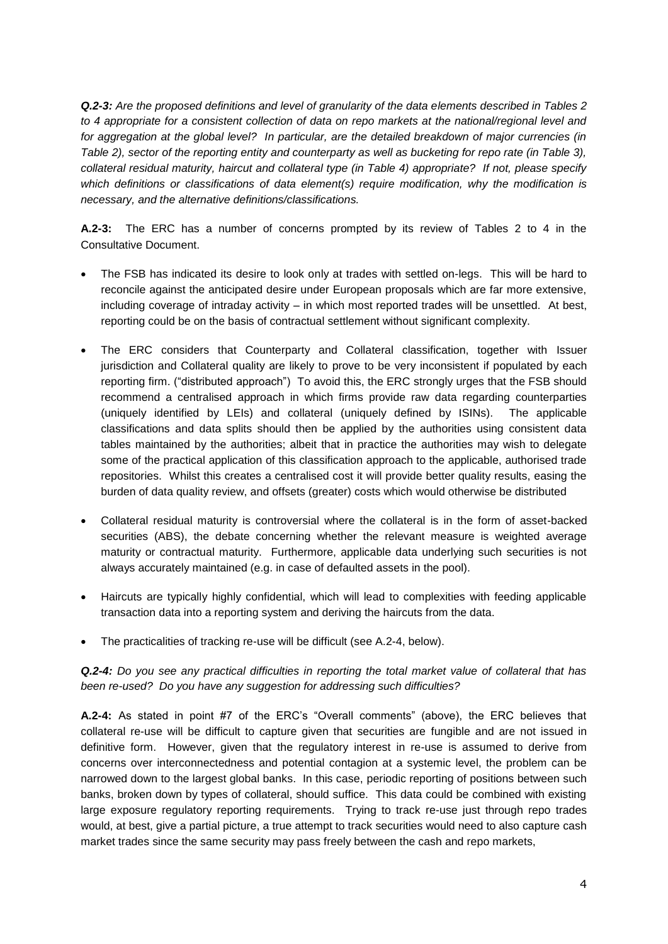*Q.2-3: Are the proposed definitions and level of granularity of the data elements described in Tables 2 to 4 appropriate for a consistent collection of data on repo markets at the national/regional level and for aggregation at the global level? In particular, are the detailed breakdown of major currencies (in Table 2), sector of the reporting entity and counterparty as well as bucketing for repo rate (in Table 3), collateral residual maturity, haircut and collateral type (in Table 4) appropriate? If not, please specify which definitions or classifications of data element(s) require modification, why the modification is necessary, and the alternative definitions/classifications.*

**A.2-3:** The ERC has a number of concerns prompted by its review of Tables 2 to 4 in the Consultative Document.

- The FSB has indicated its desire to look only at trades with settled on-legs. This will be hard to reconcile against the anticipated desire under European proposals which are far more extensive, including coverage of intraday activity – in which most reported trades will be unsettled. At best, reporting could be on the basis of contractual settlement without significant complexity.
- The ERC considers that Counterparty and Collateral classification, together with Issuer jurisdiction and Collateral quality are likely to prove to be very inconsistent if populated by each reporting firm. ("distributed approach") To avoid this, the ERC strongly urges that the FSB should recommend a centralised approach in which firms provide raw data regarding counterparties (uniquely identified by LEIs) and collateral (uniquely defined by ISINs). The applicable classifications and data splits should then be applied by the authorities using consistent data tables maintained by the authorities; albeit that in practice the authorities may wish to delegate some of the practical application of this classification approach to the applicable, authorised trade repositories. Whilst this creates a centralised cost it will provide better quality results, easing the burden of data quality review, and offsets (greater) costs which would otherwise be distributed
- Collateral residual maturity is controversial where the collateral is in the form of asset-backed securities (ABS), the debate concerning whether the relevant measure is weighted average maturity or contractual maturity. Furthermore, applicable data underlying such securities is not always accurately maintained (e.g. in case of defaulted assets in the pool).
- Haircuts are typically highly confidential, which will lead to complexities with feeding applicable transaction data into a reporting system and deriving the haircuts from the data.
- The practicalities of tracking re-use will be difficult (see A.2-4, below).

*Q.2-4: Do you see any practical difficulties in reporting the total market value of collateral that has been re-used? Do you have any suggestion for addressing such difficulties?*

**A.2-4:** As stated in point #7 of the ERC's "Overall comments" (above), the ERC believes that collateral re-use will be difficult to capture given that securities are fungible and are not issued in definitive form. However, given that the regulatory interest in re-use is assumed to derive from concerns over interconnectedness and potential contagion at a systemic level, the problem can be narrowed down to the largest global banks. In this case, periodic reporting of positions between such banks, broken down by types of collateral, should suffice. This data could be combined with existing large exposure regulatory reporting requirements. Trying to track re-use just through repo trades would, at best, give a partial picture, a true attempt to track securities would need to also capture cash market trades since the same security may pass freely between the cash and repo markets,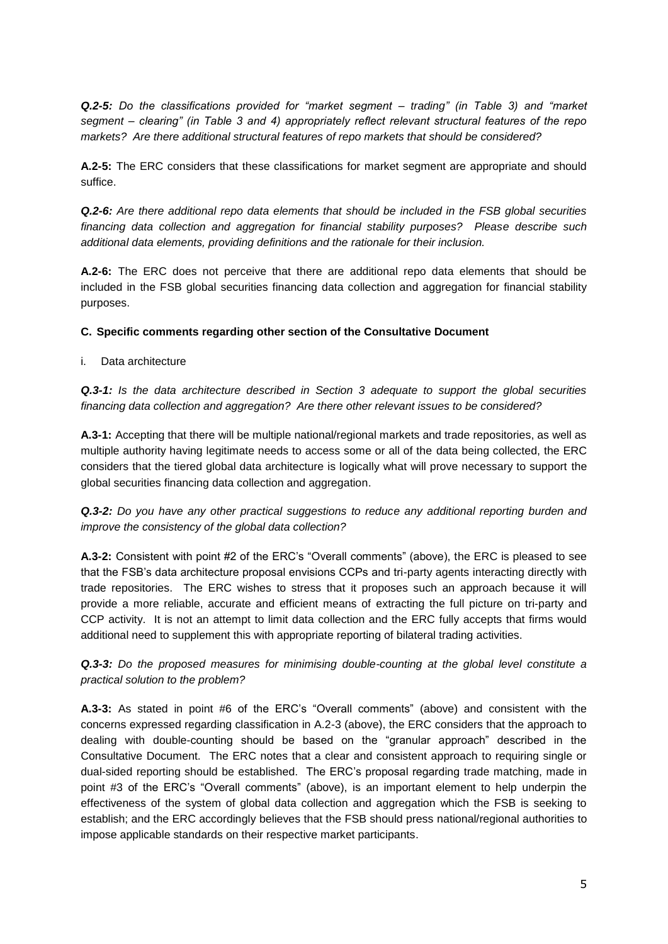*Q.2-5: Do the classifications provided for "market segment – trading" (in Table 3) and "market segment – clearing" (in Table 3 and 4) appropriately reflect relevant structural features of the repo markets? Are there additional structural features of repo markets that should be considered?*

**A.2-5:** The ERC considers that these classifications for market segment are appropriate and should suffice.

*Q.2-6: Are there additional repo data elements that should be included in the FSB global securities financing data collection and aggregation for financial stability purposes? Please describe such additional data elements, providing definitions and the rationale for their inclusion.*

**A.2-6:** The ERC does not perceive that there are additional repo data elements that should be included in the FSB global securities financing data collection and aggregation for financial stability purposes.

## **C. Specific comments regarding other section of the Consultative Document**

i. Data architecture

*Q.3-1: Is the data architecture described in Section 3 adequate to support the global securities financing data collection and aggregation? Are there other relevant issues to be considered?*

**A.3-1:** Accepting that there will be multiple national/regional markets and trade repositories, as well as multiple authority having legitimate needs to access some or all of the data being collected, the ERC considers that the tiered global data architecture is logically what will prove necessary to support the global securities financing data collection and aggregation.

*Q.3-2: Do you have any other practical suggestions to reduce any additional reporting burden and improve the consistency of the global data collection?*

**A.3-2:** Consistent with point #2 of the ERC's "Overall comments" (above), the ERC is pleased to see that the FSB's data architecture proposal envisions CCPs and tri-party agents interacting directly with trade repositories. The ERC wishes to stress that it proposes such an approach because it will provide a more reliable, accurate and efficient means of extracting the full picture on tri-party and CCP activity. It is not an attempt to limit data collection and the ERC fully accepts that firms would additional need to supplement this with appropriate reporting of bilateral trading activities.

*Q.3-3: Do the proposed measures for minimising double-counting at the global level constitute a practical solution to the problem?*

**A.3-3:** As stated in point #6 of the ERC's "Overall comments" (above) and consistent with the concerns expressed regarding classification in A.2-3 (above), the ERC considers that the approach to dealing with double-counting should be based on the "granular approach" described in the Consultative Document. The ERC notes that a clear and consistent approach to requiring single or dual-sided reporting should be established. The ERC's proposal regarding trade matching, made in point #3 of the ERC's "Overall comments" (above), is an important element to help underpin the effectiveness of the system of global data collection and aggregation which the FSB is seeking to establish; and the ERC accordingly believes that the FSB should press national/regional authorities to impose applicable standards on their respective market participants.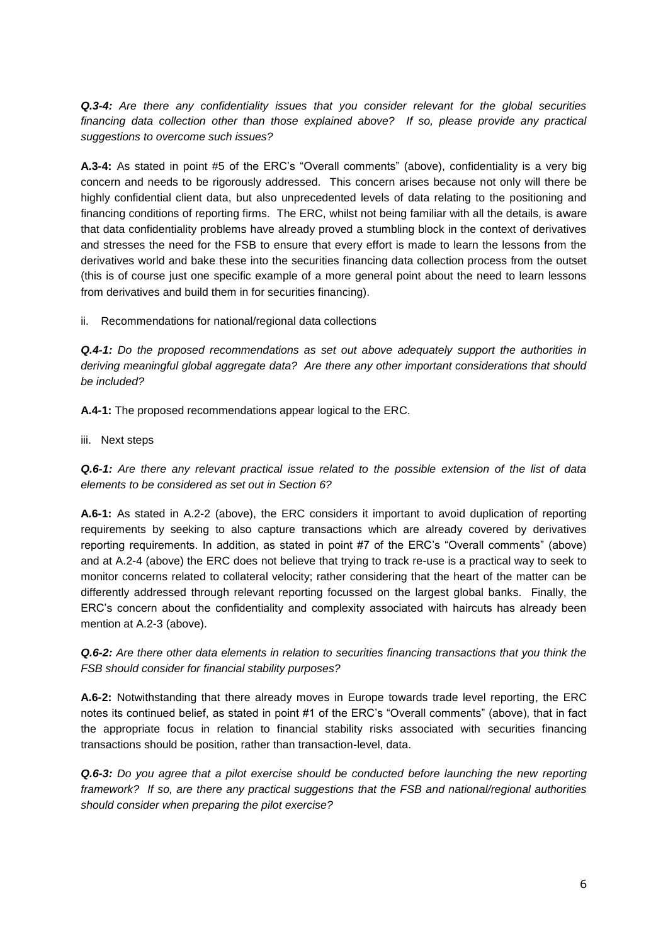*Q.3-4: Are there any confidentiality issues that you consider relevant for the global securities financing data collection other than those explained above? If so, please provide any practical suggestions to overcome such issues?*

**A.3-4:** As stated in point #5 of the ERC's "Overall comments" (above), confidentiality is a very big concern and needs to be rigorously addressed. This concern arises because not only will there be highly confidential client data, but also unprecedented levels of data relating to the positioning and financing conditions of reporting firms. The ERC, whilst not being familiar with all the details, is aware that data confidentiality problems have already proved a stumbling block in the context of derivatives and stresses the need for the FSB to ensure that every effort is made to learn the lessons from the derivatives world and bake these into the securities financing data collection process from the outset (this is of course just one specific example of a more general point about the need to learn lessons from derivatives and build them in for securities financing).

ii. Recommendations for national/regional data collections

*Q.4-1: Do the proposed recommendations as set out above adequately support the authorities in deriving meaningful global aggregate data? Are there any other important considerations that should be included?*

**A.4-1:** The proposed recommendations appear logical to the ERC.

iii. Next steps

*Q.6-1: Are there any relevant practical issue related to the possible extension of the list of data elements to be considered as set out in Section 6?*

**A.6-1:** As stated in A.2-2 (above), the ERC considers it important to avoid duplication of reporting requirements by seeking to also capture transactions which are already covered by derivatives reporting requirements. In addition, as stated in point #7 of the ERC's "Overall comments" (above) and at A.2-4 (above) the ERC does not believe that trying to track re-use is a practical way to seek to monitor concerns related to collateral velocity; rather considering that the heart of the matter can be differently addressed through relevant reporting focussed on the largest global banks. Finally, the ERC's concern about the confidentiality and complexity associated with haircuts has already been mention at A.2-3 (above).

*Q.6-2: Are there other data elements in relation to securities financing transactions that you think the FSB should consider for financial stability purposes?*

**A.6-2:** Notwithstanding that there already moves in Europe towards trade level reporting, the ERC notes its continued belief, as stated in point #1 of the ERC's "Overall comments" (above), that in fact the appropriate focus in relation to financial stability risks associated with securities financing transactions should be position, rather than transaction-level, data.

**Q.6-3:** Do you agree that a pilot exercise should be conducted before launching the new reporting *framework? If so, are there any practical suggestions that the FSB and national/regional authorities should consider when preparing the pilot exercise?*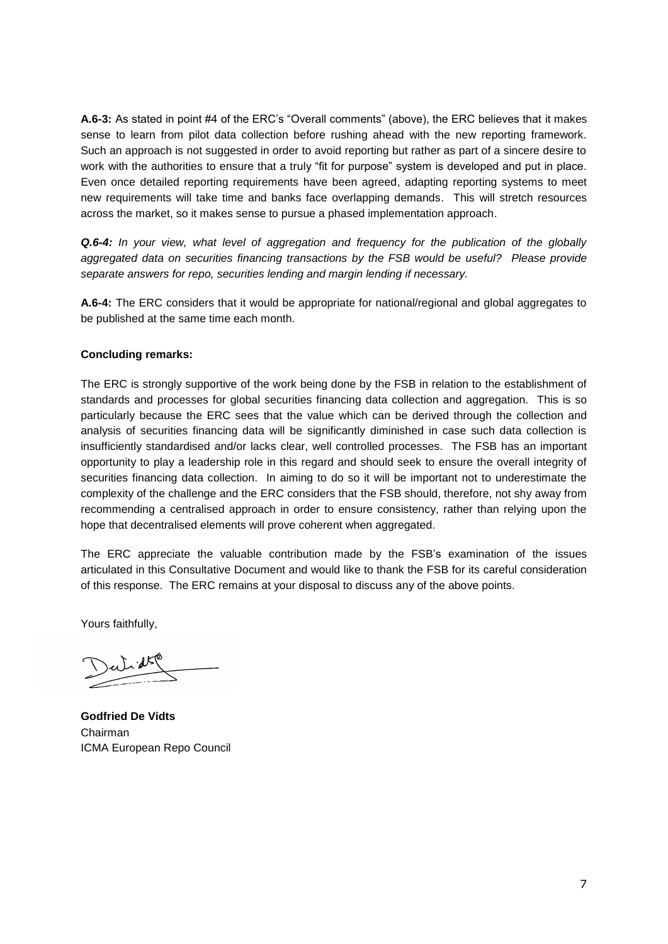**A.6-3:** As stated in point #4 of the ERC's "Overall comments" (above), the ERC believes that it makes sense to learn from pilot data collection before rushing ahead with the new reporting framework. Such an approach is not suggested in order to avoid reporting but rather as part of a sincere desire to work with the authorities to ensure that a truly "fit for purpose" system is developed and put in place. Even once detailed reporting requirements have been agreed, adapting reporting systems to meet new requirements will take time and banks face overlapping demands. This will stretch resources across the market, so it makes sense to pursue a phased implementation approach.

*Q.6-4: In your view, what level of aggregation and frequency for the publication of the globally aggregated data on securities financing transactions by the FSB would be useful? Please provide separate answers for repo, securities lending and margin lending if necessary.*

**A.6-4:** The ERC considers that it would be appropriate for national/regional and global aggregates to be published at the same time each month.

#### **Concluding remarks:**

The ERC is strongly supportive of the work being done by the FSB in relation to the establishment of standards and processes for global securities financing data collection and aggregation. This is so particularly because the ERC sees that the value which can be derived through the collection and analysis of securities financing data will be significantly diminished in case such data collection is insufficiently standardised and/or lacks clear, well controlled processes. The FSB has an important opportunity to play a leadership role in this regard and should seek to ensure the overall integrity of securities financing data collection. In aiming to do so it will be important not to underestimate the complexity of the challenge and the ERC considers that the FSB should, therefore, not shy away from recommending a centralised approach in order to ensure consistency, rather than relying upon the hope that decentralised elements will prove coherent when aggregated.

The ERC appreciate the valuable contribution made by the FSB's examination of the issues articulated in this Consultative Document and would like to thank the FSB for its careful consideration of this response. The ERC remains at your disposal to discuss any of the above points.

Yours faithfully,

**Godfried De Vidts** Chairman ICMA European Repo Council